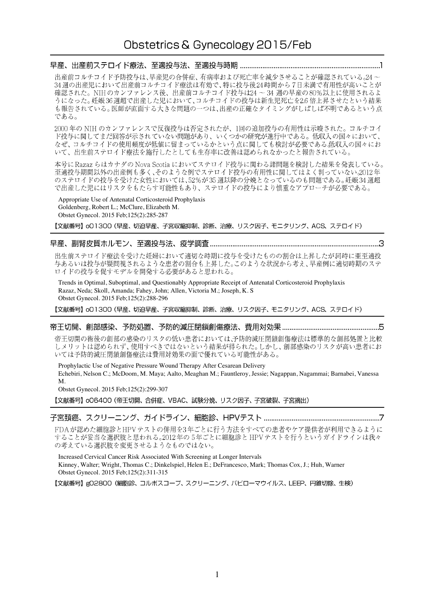## 

出産前コルチコイド予防投与は、早産児の合併症、有病率および死亡率を減少させることが確認されている。24~ 34 週の出産児において出産前コルチコイド療法は有効で、特に投与後24時間から7日未満で有用性が高いことが 確認された。NIHのカンファレンス後、出産前コルチコイド投与は24~34週の早産の80%以上に使用されるよ うになった。妊娠36週超で出産した児において、コルチコイドの投与は新生児死亡を2.6倍上昇させたという結果 も報告されている。医師が直面する大きな問題の一つは、出産の正確なタイミングがしばしば不明であるという点 である。

2000年の NIH のカンファレンスで反復投与は否定されたが、1回の追加投与の有用性は示唆された。コルチコイ ド投与に関してまだ回答が示されていない問題があり、いくつかの研究が進行中である。低収入の国々において、 なぜ、コルチコイドの使用頻度が低値に留まっているかという点に関しても検討が必要である低収入の国々にお いて、出生前ステロイド療法を施行したとしても生存率に改善は認められなかったと報告されている。

本号に Razaz らはカナダの Nova Scotia においてステロイド投与に関わる諸問題を検討した結果を発表している。 至適投与期間以外の出産例も多く、そのような例でステロイド投与の有用性に関してはよく判っていない。2012年 のステロイドの投与を受けた女性においては、52%が35週以降の分娩となっているのも問題である。妊娠34週超 で出産した児にはリスクをもたらす可能性もあり、ステロイドの投与により慎重なアプローチが必要である。

Appropriate Use of Antenatal Corticosteroid Prophylaxis Goldenberg, Robert L.; McClure, Elizabeth M. Obstet Gynecol. 2015 Feb;125(2):285-287

【文献番号】o01300 (早産、切迫早産、子宮収縮抑制、診断、治療、リスク因子、モニタリング、ACS、ステロイド)

## 

出生前ステロイド療法を受けた妊婦において適切な時期に投与を受けたものの割合は上昇したが同時に亜至適投 与あるいは投与が疑問視されるような患者の割合も上昇した。このような状況から考え、早産例に適切時期のステ ロイドの投与を促すモデルを開発する必要があると思われる。

Trends in Optimal, Suboptimal, and Questionably Appropriate Receipt of Antenatal Corticosteroid Prophylaxis Razaz, Neda; Skoll, Amanda; Fahey, John; Allen, Victoria M.; Joseph, K. S Obstet Gynecol. 2015 Feb;125(2):288-296

【文献番号】o01300(早産、切迫早産、子宮収縮抑制、診断、治療、リスク因子、モニタリング、ACS、ステロイド)

### 

帝王切開の術後の創部の感染のリスクの低い患者においては、予防的減圧閉鎖創傷療法は標準的な創部処置と比較 しメリットは認められず、使用すべきではないという結果が得られた。しかし、創部感染のリスクが高い患者にお いては予防的減圧閉鎖創傷療法は費用対効果の面で優れている可能性がある。

Prophylactic Use of Negative Pressure Wound Therapy After Cesarean Delivery Echebiri, Nelson C.; McDoom, M. Maya; Aalto, Meaghan M.; Fauntleroy, Jessie; Nagappan, Nagammai; Barnabei, Vanessa M.

Obstet Gynecol. 2015 Feb;125(2):299-307

【文献番号】 oO6400 (帝王切開、合併症、VBAC、試験分娩、リスク因子、子宮破裂、子宮摘出)

# 

FDAが認めた細胞診とHPVテストの併用を3年ごとに行う方法をすべての患者やケア提供者が利用できるように FDAが認めに細胞診とHPVアストの併用を3年ことに打り力法をすべくの思者やケア症快者が利用でさるよりに<br>することが妥当な選択肢と思われる。2012年の5年ごとに細胞診と HPVテストを行うというガイドラインは我々<br>の考えている選択肢を変更させるようなものではない。

Increased Cervical Cancer Risk Associated With Screening at Longer Intervals Kinney, Walter; Wright, Thomas C.; Dinkelspiel, Helen E.; DeFrancesco, Mark; Thomas Cox, J.; Huh, Warner Obstet Gynecol. 2015 Feb;125(2):311-315

【文献番号】gQ2800 (細胞診、コルポスコープ、スクリーニング、パピローマウイルス、LEEP、円錐切除、生検)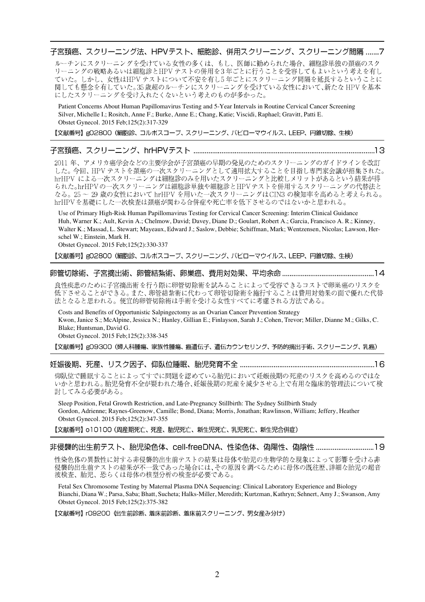子宮頚癌、スクリーニング法、HPVテスト、細胞診、併用スクリーニング、スクリーニング間隔 .......7

ルーチンにスクリーニングを受けている女性の多くは、もし、医師に勧められた場合、細胞診単独の頚癌のスク リーニングの戦略あるいは細胞診とHPVテストの併用を3年ごとに行うことを受容してもよいという考えを有し ていた。しかし、女性はHPVテストについて不安を有し5年ごとにスクリーニング間隔を延長するということに 関しても懸念を有していた。35歳超のルーチンにスクリーニングを受けている女性において、新たな HPVを基本 にしたスクリーニングを受け入れたくないという考えのものが多かった。

Patient Concerns About Human Papillomavirus Testing and 5-Year Intervals in Routine Cervical Cancer Screening Silver, Michelle I.; Rositch, Anne F.; Burke, Anne E.; Chang, Katie; Viscidi, Raphael; Gravitt, Patti E. Obstet Gynecol. 2015 Feb;125(2):317-329

【文献番号】gO2800 (細胞診、コルポスコープ、スクリーニング、パピローマウイルス、LEEP、円錐切除、生検)

## 

2011 年、アメリカ癌学会などの主要学会が子宮頚癌の早期の発見のためのスクリーニングのガイドラインを改訂 した。今回、HPVテストを頚癌の一次スクリーニングとして適用拡大することを目指し専門家会議が招集された。 hrHPV による一次スクリーニングは細胞診のみを用いたスクリーニングと比較しメリットがあるという結果が得 られた。hrHPVの一次スクリーニングは細胞診単独や細胞診とHPVテストを併用するスクリーニングの代替法と なる。25~29歳の女性において hrHPV を用いた一次スクリーニングはCIN3 の検知率を高めると考えられる。 hrHPVを基礎にした一次検査は頚癌が関わる合併症や死亡率を低下させるのではないかと思われる。

Use of Primary High-Risk Human Papillomavirus Testing for Cervical Cancer Screening: Interim Clinical Guidance Huh, Warner K.; Ault, Kevin A.; Chelmow, David; Davey, Diane D.; Goulart, Robert A.; Garcia, Francisco A. R.; Kinney, Walter K.; Massad, L. Stewart; Mayeaux, Edward J.; Saslow, Debbie; Schiffman, Mark; Wentzensen, Nicolas; Lawson, Herschel W.; Einstein, Mark H.

Obstet Gynecol. 2015 Feb;125(2):330-337

【文献番号】g02800 (細胞診、コルポスコープ、スクリーニング、パピローマウイルス、LEEP、円錐切除、生検)

## 

良性疾患のために子宮摘出術を行う際に卵管切除術を試みることによって受容できるコストで卵巣癌のリスクを 低下させることができる。また、卵管結紮術に代わって卵管切除術を施行することは費用対効果の面で優れた代替 法となると思われる。便宜的卵管切除術は手術を受ける女性すべてに考慮される方法である。

Costs and Benefits of Opportunistic Salpingectomy as an Ovarian Cancer Prevention Strategy Kwon, Janice S.; McAlpine, Jessica N.; Hanley, Gillian E.; Finlayson, Sarah J.; Cohen, Trevor; Miller, Dianne M.; Gilks, C. Blake; Huntsman, David G. Obstet Gynecol. 2015 Feb;125(2):338-345

【文献番号】gO9300 (婦人科腫瘍、家族性腫瘍、癌遺伝子、遺伝カウンセリング、予防的摘出手術、スクリーニング、乳癌)

仰臥位で睡眠することによってすでに問題を認めている胎児において妊娠後期の死産のリスクを高めるのではな いかと思われる。胎児発育不全が疑われた場合、妊娠後期の死産を減少させる上で有用な臨床的管理法について検 討してみる必要がある。

Sleep Position, Fetal Growth Restriction, and Late-Pregnancy Stillbirth: The Sydney Stillbirth Study Gordon, Adrienne; Raynes-Greenow, Camille; Bond, Diana; Morris, Jonathan; Rawlinson, William; Jeffery, Heather Obstet Gynecol. 2015 Feb;125(2):347-355

【文献番号】 o 1 0 1 0 0 (周産期死亡、死産、胎児死亡、新生児死亡、乳児死亡、新生児合併症)

### 

性染色体の異数性に対する非侵襲的出生前テストの結果は母体や胎児の生物学的な現象によって影響を受ける非 侵襲的出生前テストの結果が不一致であった場合には、その原因を調べるために母体の既往歴、詳細な胎児の超音 波検査、胎児、恐らくは母体の核型分析の検査が必要である。

Fetal Sex Chromosome Testing by Maternal Plasma DNA Sequencing: Clinical Laboratory Experience and Biology Bianchi, Diana W.; Parsa, Saba; Bhatt, Sucheta; Halks-Miller, Meredith; Kurtzman, Kathryn; Sehnert, Amy J.; Swanson, Amy Obstet Gynecol. 2015 Feb;125(2):375-382

【文献番号】 rO9200 (出生前診断、着床前診断、着床前スクリーニング、男女産み分け)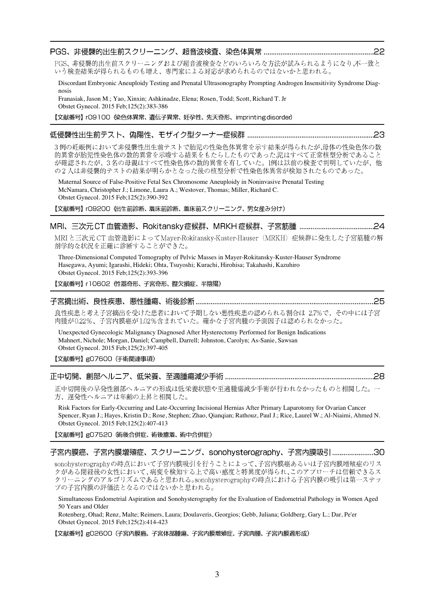# 

PGS、非侵襲的出生前スクリーニングおよび超音波検査などのいろいろな方法が試みられるようになり、不一致と いう検査結果が得られるものも増え、専門家による対応が求められるのではないかと思われる。

Discordant Embryonic Aneuploidy Testing and Prenatal Ultrasonography Prompting Androgen Insensitivity Syndrome Diagnosis Franasiak, Jason M.; Yao, Xinxin; Ashkinadze, Elena; Rosen, Todd; Scott, Richard T. Jr

Obstet Gynecol. 2015 Feb;125(2):383-386

【文献番号】 rO9100 傑色体異常、遺伝子異常、妊孕性、先天奇形、imprintingdisorder)

# 

3例の妊娠例において非侵襲性出生前テストで胎児の性染色体異常を示す結果が得られたが、母体の性染色体の数 的異常が胎児性染色体の数的異常を示唆する結果をもたらしたものであった児はすべて正常核型分析であること が確認されたが、3名の母親はすべて性染色体の数的異常を有していた。1例は以前の検査で判明していたが、他 の2人は非侵襲的テストの結果が明らかとなった後の核型分析で性染色体異常が検知されたものであった。

Maternal Source of False-Positive Fetal Sex Chromosome Aneuploidy in Noninvasive Prenatal Testing McNamara, Christopher J.; Limone, Laura A.; Westover, Thomas; Miller, Richard C. Obstet Gynecol. 2015 Feb;125(2):390-392

【文献番号】 rO9200 (出生前診断、着床前診断、着床前スクリーニング、男女産み分け)

## 

MRI と三次元 CT 血管造影によって Mayer-Rokitansky-Kuster-Hauser (MRKH) 症候群に発生した子宮筋腫の解 剖学的な状況を正確に診断することができた。

Three-Dimensional Computed Tomography of Pelvic Masses in Mayer-Rokitansky-Kuster-Hauser Syndrome Hasegawa, Ayumi; Igarashi, Hideki; Ohta, Tsuyoshi; Kurachi, Hirohisa; Takahashi, Kazuhiro Obstet Gynecol. 2015 Feb;125(2):393-396

【文献番号】 r10602 (性器奇形、子宮奇形、 膛欠損症、 半陰陽)

#### 

良性疾患と考え子宮摘出を受けた患者において予期しない悪性疾患の認められる割合は 2.7%で、その中には子宮 肉腫が0.22%、子宮内膜癌が1.02%含まれていた。確かな子宮肉腫の予測因子は認められなかった。

Unexpected Gynecologic Malignancy Diagnosed After Hysterectomy Performed for Benign Indications Mahnert, Nichole; Morgan, Daniel; Campbell, Darrell; Johnston, Carolyn; As-Sanie, Sawsan Obstet Gynecol. 2015 Feb;125(2):397-405

### 【文献番号】gO7600 (手術関連事項)

#### 

正中切開後の早発性創部へルニアの形成は低栄養状態や至適腫瘍減少手術が行われなかったものと相関した。一 方、遅発性ヘルニアは年齢の上昇と相関した。

Risk Factors for Early-Occurring and Late-Occurring Incisional Hernias After Primary Laparotomy for Ovarian Cancer Spencer, Ryan J.; Hayes, Kristin D.; Rose, Stephen; Zhao, Qianqian; Rathouz, Paul J.; Rice, Laurel W.; Al-Niaimi, Ahmed N. Obstet Gynecol. 2015 Feb;125(2):407-413

【文献番号】gO7520 (術後合併症、術後癒着、術中合併症)

### 子宮内膜癌、子宮内膜増殖症、スクリーニング、sonohysterography、子宮内膜吸引.......................30

sonohysterographyの時点において子宮内膜吸引を行うことによって、子宮内膜癌あるいは子宮内膜増殖症のリス クがある閉経後の女性において、病変を検知する上で高い感度と特異度が得られ、このアプローチは信頼できるス クリーニングのアルゴリズムであると思われる。sonohysterographyの時点における子宮内膜の吸引は第一ステッ プの子宮内膜の評価法となるのではないかと思われる。

Simultaneous Endometrial Aspiration and Sonohysterography for the Evaluation of Endometrial Pathology in Women Aged 50 Years and Older

Rotenberg, Ohad; Renz, Malte; Reimers, Laura; Doulaveris, Georgios; Gebb, Juliana; Goldberg, Gary L.; Dar, Pe'er Obstet Gynecol. 2015 Feb;125(2):414-423

【文献番号】g02600(子宮内膜癌、子宮体部腫瘍、子宮内膜増殖症、子宮肉腫、子宮内膜過形成)